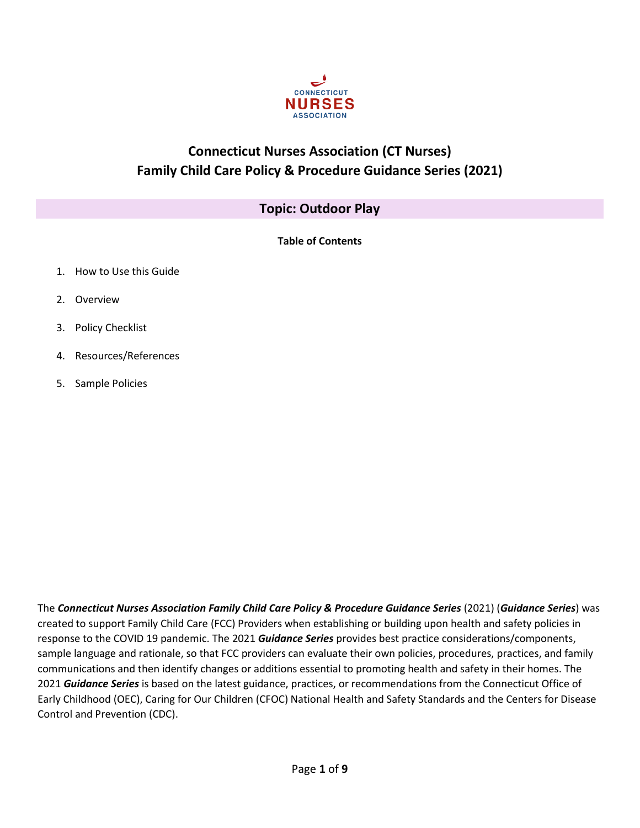

# **Connecticut Nurses Association (CT Nurses) Family Child Care Policy & Procedure Guidance Series (2021)**

# **Topic: Outdoor Play**

|--|

- 1. How to Use this Guide
- 2. Overview
- 3. Policy Checklist
- 4. Resources/References
- 5. Sample Policies

The *Connecticut Nurses Association Family Child Care Policy & Procedure Guidance Series* (2021) (*Guidance Series*) was created to support Family Child Care (FCC) Providers when establishing or building upon health and safety policies in response to the COVID 19 pandemic. The 2021 *Guidance Series* provides best practice considerations/components, sample language and rationale, so that FCC providers can evaluate their own policies, procedures, practices, and family communications and then identify changes or additions essential to promoting health and safety in their homes. The 2021 *Guidance Series* is based on the latest guidance, practices, or recommendations from the Connecticut Office of Early Childhood (OEC), Caring for Our Children (CFOC) National Health and Safety Standards and the Centers for Disease Control and Prevention (CDC).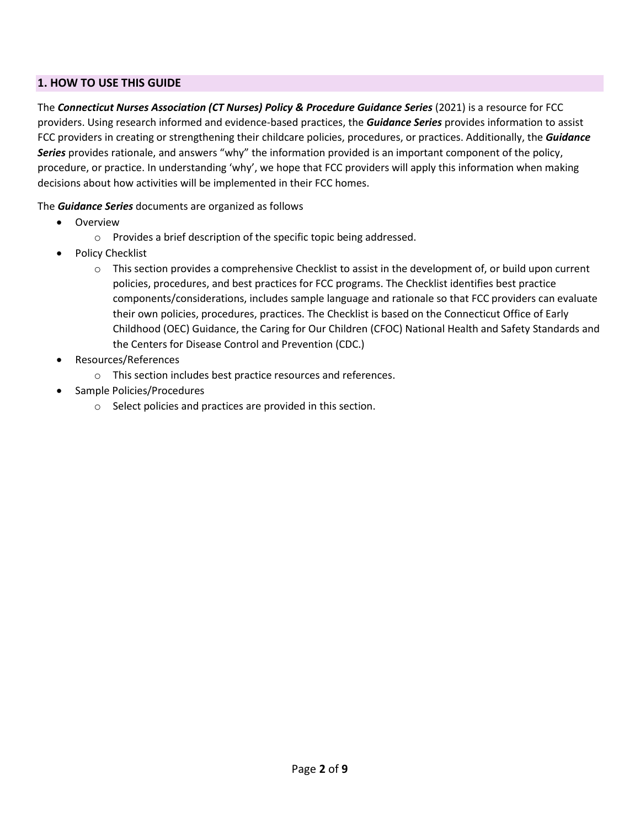### **1. HOW TO USE THIS GUIDE**

The *Connecticut Nurses Association (CT Nurses) Policy & Procedure Guidance Series* (2021) is a resource for FCC providers. Using research informed and evidence-based practices, the *Guidance Series* provides information to assist FCC providers in creating or strengthening their childcare policies, procedures, or practices. Additionally, the *Guidance Series* provides rationale, and answers "why" the information provided is an important component of the policy, procedure, or practice. In understanding 'why', we hope that FCC providers will apply this information when making decisions about how activities will be implemented in their FCC homes.

#### The *Guidance Series* documents are organized as follows

- Overview
	- o Provides a brief description of the specific topic being addressed.
- Policy Checklist
	- $\circ$  This section provides a comprehensive Checklist to assist in the development of, or build upon current policies, procedures, and best practices for FCC programs. The Checklist identifies best practice components/considerations, includes sample language and rationale so that FCC providers can evaluate their own policies, procedures, practices. The Checklist is based on the Connecticut Office of Early Childhood (OEC) Guidance, the Caring for Our Children (CFOC) National Health and Safety Standards and the Centers for Disease Control and Prevention (CDC.)
- Resources/References
	- o This section includes best practice resources and references.
- Sample Policies/Procedures
	- o Select policies and practices are provided in this section.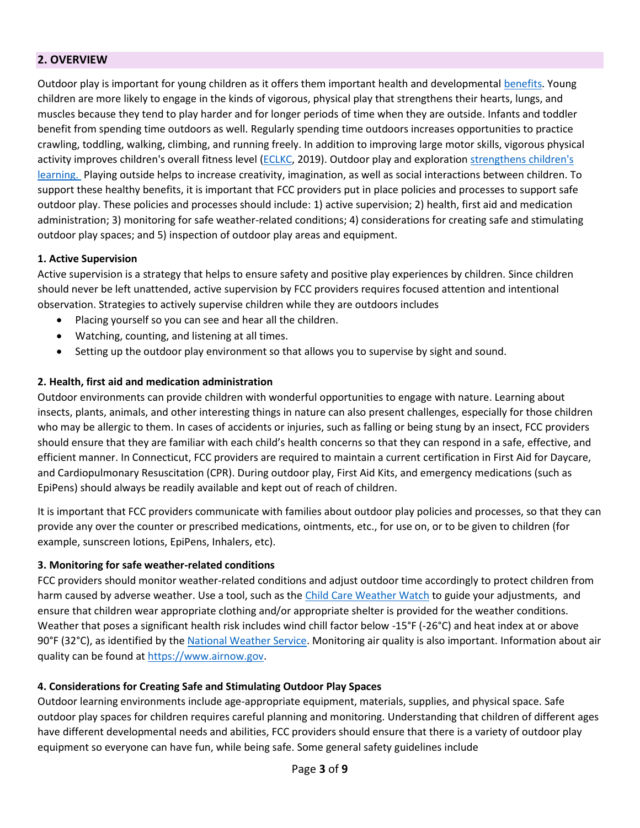### **2. OVERVIEW**

Outdoor play is important for young children as it offers them important health and developmental [benefits.](https://eclkc.ohs.acf.hhs.gov/learning-environments/supporting-outdoor-play-exploration-infants-toddlers/benefits-outdoor-play-exploration) Young children are more likely to engage in the kinds of vigorous, physical play that strengthens their hearts, lungs, and muscles because they tend to play harder and for longer periods of time when they are outside. Infants and toddler benefit from spending time outdoors as well. Regularly spending time outdoors increases opportunities to practice crawling, toddling, walking, climbing, and running freely. In addition to improving large motor skills, vigorous physical activity improves children's overall fitness level [\(ECLKC,](https://eclkc.ohs.acf.hhs.gov/learning-environments/supporting-outdoor-play-exploration-infants-toddlers/benefits-outdoor-play-exploration) 2019). Outdoor play and exploration [strengthens](https://eclkc.ohs.acf.hhs.gov/learning-environments/supporting-outdoor-play-exploration-infants-toddlers/going-outside-strengthens-childrens-development-learning) children's [learning.](https://eclkc.ohs.acf.hhs.gov/learning-environments/supporting-outdoor-play-exploration-infants-toddlers/going-outside-strengthens-childrens-development-learning) Playing outside helps to increase creativity, imagination, as well as social interactions between children. To support these healthy benefits, it is important that FCC providers put in place policies and processes to support safe outdoor play. These policies and processes should include: 1) active supervision; 2) health, first aid and medication administration; 3) monitoring for safe weather-related conditions; 4) considerations for creating safe and stimulating outdoor play spaces; and 5) inspection of outdoor play areas and equipment.

#### **1. Active Supervision**

Active supervision is a strategy that helps to ensure safety and positive play experiences by children. Since children should never be left unattended, active supervision by FCC providers requires focused attention and intentional observation. Strategies to actively supervise children while they are outdoors includes

- Placing yourself so you can see and hear all the children.
- Watching, counting, and listening at all times.
- Setting up the outdoor play environment so that allows you to supervise by sight and sound.

#### **2. Health, first aid and medication administration**

Outdoor environments can provide children with wonderful opportunities to engage with nature. Learning about insects, plants, animals, and other interesting things in nature can also present challenges, especially for those children who may be allergic to them. In cases of accidents or injuries, such as falling or being stung by an insect, FCC providers should ensure that they are familiar with each child's health concerns so that they can respond in a safe, effective, and efficient manner. In Connecticut, FCC providers are required to maintain a current certification in First Aid for Daycare, and Cardiopulmonary Resuscitation (CPR). During outdoor play, First Aid Kits, and emergency medications (such as EpiPens) should always be readily available and kept out of reach of children.

It is important that FCC providers communicate with families about outdoor play policies and processes, so that they can provide any over the counter or prescribed medications, ointments, etc., for use on, or to be given to children (for example, sunscreen lotions, EpiPens, Inhalers, etc).

#### **3. Monitoring for safe weather-related conditions**

FCC providers should monitor weather-related conditions and adjust outdoor time accordingly to protect children from harm caused by adverse weather. Use a tool, such as the [Child Care Weather Watch](https://www.c-uphd.org/documents/wellness/weatherwatch.pdf) to guide your adjustments, and ensure that children wear appropriate clothing and/or appropriate shelter is provided for the weather conditions. Weather that poses a significant health risk includes wind chill factor below -15°F (-26°C) and heat index at or above 90°F (32°C), as identified by the [National Weather Service.](https://www.weather.gov/safety/heat) Monitoring air quality is also important. Information about air quality can be found at [https://www.airnow.gov.](https://www.airnow.gov/)

#### **4. [Considerations for Creating Safe and Stimulating Outdoor Play Spaces](https://eclkc.ohs.acf.hhs.gov/learning-environments/supporting-outdoor-play-exploration-infants-toddlers/considerations-creating-safe-stimulating-outdoor-play-spaces)**

Outdoor learning environments include age-appropriate equipment, materials, supplies, and physical space. Safe outdoor play spaces for children requires careful planning and monitoring. Understanding that children of different ages have different developmental needs and abilities, FCC providers should ensure that there is a variety of outdoor play equipment so everyone can have fun, while being safe. Some general safety guidelines include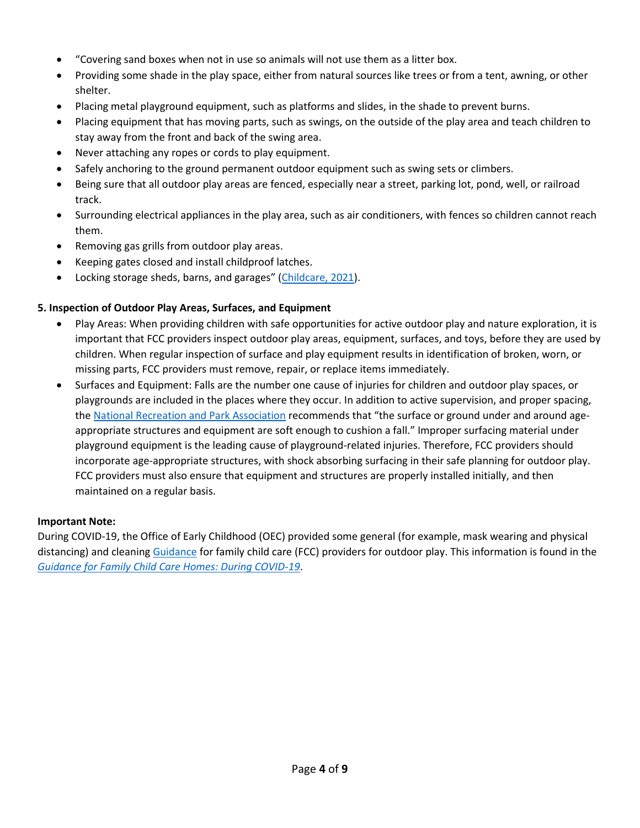- "Covering sand boxes when not in use so animals will not use them as a litter box.
- Providing some shade in the play space, either from natural sources like trees or from a tent, awning, or other shelter.
- Placing metal playground equipment, such as platforms and slides, in the shade to prevent burns.
- Placing equipment that has moving parts, such as swings, on the outside of the play area and teach children to stay away from the front and back of the swing area.
- Never attaching any ropes or cords to play equipment.
- Safely anchoring to the ground permanent outdoor equipment such as swing sets or climbers.
- Being sure that all outdoor play areas are fenced, especially near a street, parking lot, pond, well, or railroad track.
- Surrounding electrical appliances in the play area, such as air conditioners, with fences so children cannot reach them.
- Removing gas grills from outdoor play areas.
- Keeping gates closed and install childproof latches.
- Locking storage sheds, barns, and garages" [\(Childcare, 2021\)](https://childcare.extension.org/basic-tips-to-keep-children-in-child-care-safe-outdoors/Connecticut%20Office%20of%20Early%20Childhood).

#### **5. [Inspection of Outdoor Play](https://eclkc.ohs.acf.hhs.gov/health-services-management/caring-our-children-basics/inspection-indoor-outdoor-play-areas-equipment) Areas, Surfaces, and Equipment**

- Play Areas: When providing children with safe opportunities for active outdoor play and nature exploration, it is important that FCC providers inspect outdoor play areas, equipment, surfaces, and toys, before they are used by children. When regular inspection of surface and play equipment results in identification of broken, worn, or missing parts, FCC providers must remove, repair, or replace items immediately.
- Surfaces and Equipment: Falls are the number one cause of injuries for children and outdoor play spaces, or playgrounds are included in the places where they occur. In addition to active supervision, and proper spacing, th[e National Recreation and Park Association](https://www.zeager.com/content/uploads/2015/12/DirtyDozen_Final.pdf) recommends that "the surface or ground under and around ageappropriate structures and equipment are soft enough to cushion a fall." Improper surfacing material under playground equipment is the leading cause of playground-related injuries. Therefore, FCC providers should incorporate age-appropriate structures, with shock absorbing surfacing in their safe planning for outdoor play. FCC providers must also ensure that equipment and structures are properly installed initially, and then maintained on a regular basis.

#### **Important Note:**

During COVID-19, the Office of Early Childhood (OEC) provided some general (for example, mask wearing and physical distancing) and cleaning [Guidance](https://www.ctoec.org/wp-content/uploads/2020/06/OEC-Child-Care-Home-Based-Guide.pdf) for family child care (FCC) providers for outdoor play. This information is found in the *[Guidance for Family Child Care Homes: During COVID-19](https://www.ctoec.org/wp-content/uploads/2020/06/OEC-Child-Care-Home-Based-Guide.pdf)*.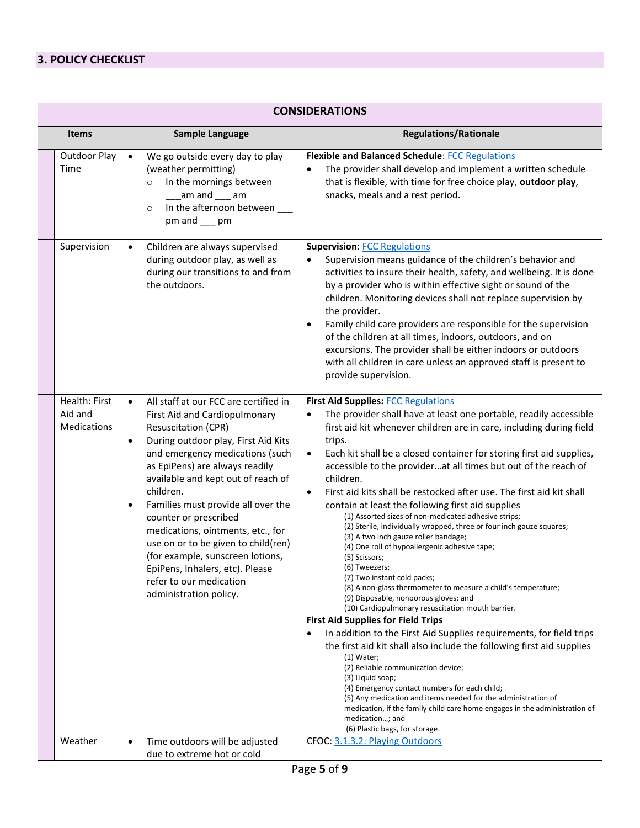# **3. POLICY CHECKLIST**

|              | <b>CONSIDERATIONS</b>                   |                                                                                                                                                                                                                                                                                                                                                                                                                                                                                                                                                                                   |                                                                                                                                                                                                                                                                                                                                                                                                                                                                                                                                                                                                                                                                                                                                                                                                                                                                                                                                                                                                                                                                                                                                                                                                                                                                                                                                                                                                                                                                                                     |  |  |
|--------------|-----------------------------------------|-----------------------------------------------------------------------------------------------------------------------------------------------------------------------------------------------------------------------------------------------------------------------------------------------------------------------------------------------------------------------------------------------------------------------------------------------------------------------------------------------------------------------------------------------------------------------------------|-----------------------------------------------------------------------------------------------------------------------------------------------------------------------------------------------------------------------------------------------------------------------------------------------------------------------------------------------------------------------------------------------------------------------------------------------------------------------------------------------------------------------------------------------------------------------------------------------------------------------------------------------------------------------------------------------------------------------------------------------------------------------------------------------------------------------------------------------------------------------------------------------------------------------------------------------------------------------------------------------------------------------------------------------------------------------------------------------------------------------------------------------------------------------------------------------------------------------------------------------------------------------------------------------------------------------------------------------------------------------------------------------------------------------------------------------------------------------------------------------------|--|--|
| <b>Items</b> |                                         | Sample Language                                                                                                                                                                                                                                                                                                                                                                                                                                                                                                                                                                   | <b>Regulations/Rationale</b>                                                                                                                                                                                                                                                                                                                                                                                                                                                                                                                                                                                                                                                                                                                                                                                                                                                                                                                                                                                                                                                                                                                                                                                                                                                                                                                                                                                                                                                                        |  |  |
|              | Outdoor Play<br>Time                    | We go outside every day to play<br>$\bullet$<br>(weather permitting)<br>In the mornings between<br>$\circ$<br>am and $\_\_\$ am<br>In the afternoon between<br>$\circ$<br>pm and ___ pm                                                                                                                                                                                                                                                                                                                                                                                           | <b>Flexible and Balanced Schedule: FCC Regulations</b><br>The provider shall develop and implement a written schedule<br>that is flexible, with time for free choice play, outdoor play,<br>snacks, meals and a rest period.                                                                                                                                                                                                                                                                                                                                                                                                                                                                                                                                                                                                                                                                                                                                                                                                                                                                                                                                                                                                                                                                                                                                                                                                                                                                        |  |  |
|              | Supervision                             | Children are always supervised<br>$\bullet$<br>during outdoor play, as well as<br>during our transitions to and from<br>the outdoors.                                                                                                                                                                                                                                                                                                                                                                                                                                             | <b>Supervision: FCC Regulations</b><br>Supervision means guidance of the children's behavior and<br>activities to insure their health, safety, and wellbeing. It is done<br>by a provider who is within effective sight or sound of the<br>children. Monitoring devices shall not replace supervision by<br>the provider.<br>Family child care providers are responsible for the supervision<br>$\bullet$<br>of the children at all times, indoors, outdoors, and on<br>excursions. The provider shall be either indoors or outdoors<br>with all children in care unless an approved staff is present to<br>provide supervision.                                                                                                                                                                                                                                                                                                                                                                                                                                                                                                                                                                                                                                                                                                                                                                                                                                                                    |  |  |
|              | Health: First<br>Aid and<br>Medications | All staff at our FCC are certified in<br>$\bullet$<br>First Aid and Cardiopulmonary<br><b>Resuscitation (CPR)</b><br>During outdoor play, First Aid Kits<br>$\bullet$<br>and emergency medications (such<br>as EpiPens) are always readily<br>available and kept out of reach of<br>children.<br>Families must provide all over the<br>$\bullet$<br>counter or prescribed<br>medications, ointments, etc., for<br>use on or to be given to child(ren)<br>(for example, sunscreen lotions,<br>EpiPens, Inhalers, etc). Please<br>refer to our medication<br>administration policy. | <b>First Aid Supplies: FCC Regulations</b><br>The provider shall have at least one portable, readily accessible<br>first aid kit whenever children are in care, including during field<br>trips.<br>Each kit shall be a closed container for storing first aid supplies,<br>$\bullet$<br>accessible to the providerat all times but out of the reach of<br>children.<br>First aid kits shall be restocked after use. The first aid kit shall<br>$\bullet$<br>contain at least the following first aid supplies<br>(1) Assorted sizes of non-medicated adhesive strips;<br>(2) Sterile, individually wrapped, three or four inch gauze squares;<br>(3) A two inch gauze roller bandage;<br>(4) One roll of hypoallergenic adhesive tape;<br>(5) Scissors;<br>(6) Tweezers;<br>(7) Two instant cold packs;<br>(8) A non-glass thermometer to measure a child's temperature;<br>(9) Disposable, nonporous gloves; and<br>(10) Cardiopulmonary resuscitation mouth barrier.<br><b>First Aid Supplies for Field Trips</b><br>In addition to the First Aid Supplies requirements, for field trips<br>the first aid kit shall also include the following first aid supplies<br>$(1)$ Water;<br>(2) Reliable communication device;<br>(3) Liquid soap;<br>(4) Emergency contact numbers for each child;<br>(5) Any medication and items needed for the administration of<br>medication, if the family child care home engages in the administration of<br>medication; and<br>(6) Plastic bags, for storage. |  |  |
|              | Weather                                 | Time outdoors will be adjusted<br>$\bullet$<br>due to extreme hot or cold                                                                                                                                                                                                                                                                                                                                                                                                                                                                                                         | CFOC: 3.1.3.2: Playing Outdoors                                                                                                                                                                                                                                                                                                                                                                                                                                                                                                                                                                                                                                                                                                                                                                                                                                                                                                                                                                                                                                                                                                                                                                                                                                                                                                                                                                                                                                                                     |  |  |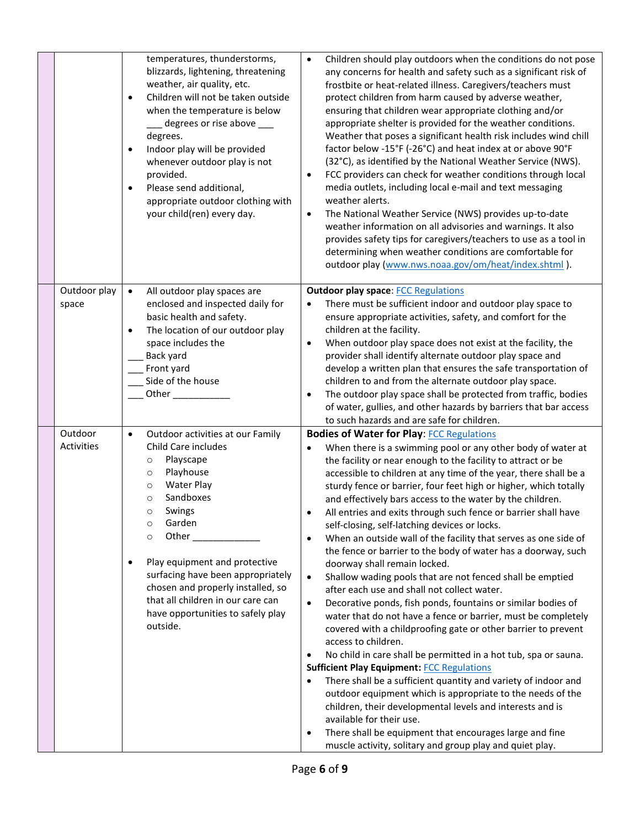|  |                       | temperatures, thunderstorms,<br>blizzards, lightening, threatening<br>weather, air quality, etc.<br>Children will not be taken outside<br>$\bullet$<br>when the temperature is below<br>degrees or rise above ___<br>degrees.<br>Indoor play will be provided<br>$\bullet$<br>whenever outdoor play is not<br>provided.<br>Please send additional,<br>$\bullet$<br>appropriate outdoor clothing with<br>your child(ren) every day.                       | Children should play outdoors when the conditions do not pose<br>$\bullet$<br>any concerns for health and safety such as a significant risk of<br>frostbite or heat-related illness. Caregivers/teachers must<br>protect children from harm caused by adverse weather,<br>ensuring that children wear appropriate clothing and/or<br>appropriate shelter is provided for the weather conditions.<br>Weather that poses a significant health risk includes wind chill<br>factor below -15°F (-26°C) and heat index at or above 90°F<br>(32°C), as identified by the National Weather Service (NWS).<br>FCC providers can check for weather conditions through local<br>$\bullet$<br>media outlets, including local e-mail and text messaging<br>weather alerts.<br>The National Weather Service (NWS) provides up-to-date<br>$\bullet$<br>weather information on all advisories and warnings. It also<br>provides safety tips for caregivers/teachers to use as a tool in<br>determining when weather conditions are comfortable for<br>outdoor play (www.nws.noaa.gov/om/heat/index.shtml).                                                                                                                                                                                                                                                                                                                                                                                                                                                         |
|--|-----------------------|----------------------------------------------------------------------------------------------------------------------------------------------------------------------------------------------------------------------------------------------------------------------------------------------------------------------------------------------------------------------------------------------------------------------------------------------------------|-----------------------------------------------------------------------------------------------------------------------------------------------------------------------------------------------------------------------------------------------------------------------------------------------------------------------------------------------------------------------------------------------------------------------------------------------------------------------------------------------------------------------------------------------------------------------------------------------------------------------------------------------------------------------------------------------------------------------------------------------------------------------------------------------------------------------------------------------------------------------------------------------------------------------------------------------------------------------------------------------------------------------------------------------------------------------------------------------------------------------------------------------------------------------------------------------------------------------------------------------------------------------------------------------------------------------------------------------------------------------------------------------------------------------------------------------------------------------------------------------------------------------------------------------------|
|  | Outdoor play<br>space | $\bullet$<br>All outdoor play spaces are<br>enclosed and inspected daily for<br>basic health and safety.<br>The location of our outdoor play<br>$\bullet$<br>space includes the<br>Back yard<br>Front yard<br>Side of the house                                                                                                                                                                                                                          | <b>Outdoor play space: FCC Regulations</b><br>There must be sufficient indoor and outdoor play space to<br>ensure appropriate activities, safety, and comfort for the<br>children at the facility.<br>When outdoor play space does not exist at the facility, the<br>٠<br>provider shall identify alternate outdoor play space and<br>develop a written plan that ensures the safe transportation of<br>children to and from the alternate outdoor play space.<br>The outdoor play space shall be protected from traffic, bodies<br>٠<br>of water, gullies, and other hazards by barriers that bar access<br>to such hazards and are safe for children.                                                                                                                                                                                                                                                                                                                                                                                                                                                                                                                                                                                                                                                                                                                                                                                                                                                                                             |
|  | Outdoor<br>Activities | Outdoor activities at our Family<br>$\bullet$<br>Child Care includes<br>Playscape<br>$\circ$<br>Playhouse<br>$\circ$<br><b>Water Play</b><br>$\circ$<br>Sandboxes<br>$\circ$<br>Swings<br>$\circ$<br>Garden<br>$\circ$<br>Other<br>$\circ$<br>Play equipment and protective<br>$\bullet$<br>surfacing have been appropriately<br>chosen and properly installed, so<br>that all children in our care can<br>have opportunities to safely play<br>outside. | <b>Bodies of Water for Play: FCC Regulations</b><br>When there is a swimming pool or any other body of water at<br>the facility or near enough to the facility to attract or be<br>accessible to children at any time of the year, there shall be a<br>sturdy fence or barrier, four feet high or higher, which totally<br>and effectively bars access to the water by the children.<br>All entries and exits through such fence or barrier shall have<br>٠<br>self-closing, self-latching devices or locks.<br>When an outside wall of the facility that serves as one side of<br>٠<br>the fence or barrier to the body of water has a doorway, such<br>doorway shall remain locked.<br>Shallow wading pools that are not fenced shall be emptied<br>$\bullet$<br>after each use and shall not collect water.<br>Decorative ponds, fish ponds, fountains or similar bodies of<br>$\bullet$<br>water that do not have a fence or barrier, must be completely<br>covered with a childproofing gate or other barrier to prevent<br>access to children.<br>No child in care shall be permitted in a hot tub, spa or sauna.<br>٠<br><b>Sufficient Play Equipment: FCC Regulations</b><br>There shall be a sufficient quantity and variety of indoor and<br>$\bullet$<br>outdoor equipment which is appropriate to the needs of the<br>children, their developmental levels and interests and is<br>available for their use.<br>There shall be equipment that encourages large and fine<br>٠<br>muscle activity, solitary and group play and quiet play. |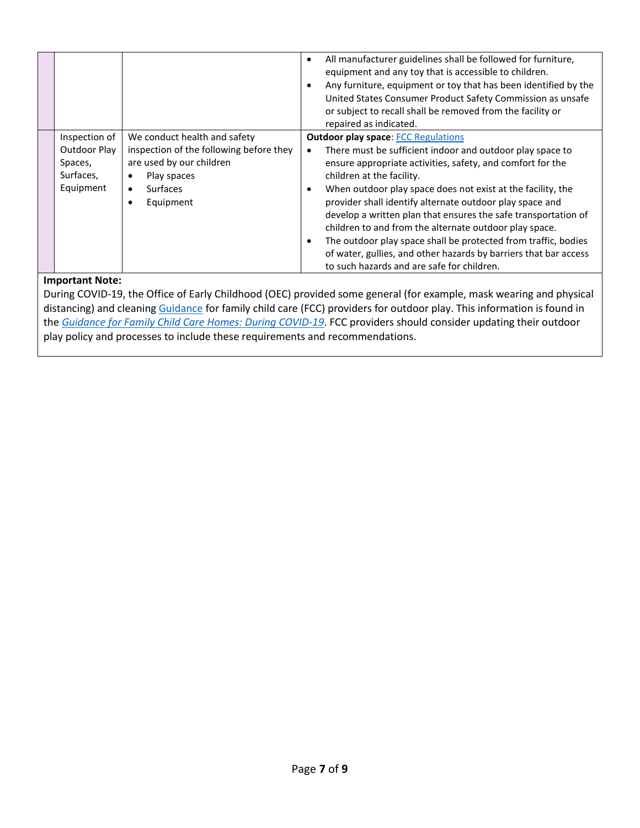|                                                                    |                                                                                                                                                                 | All manufacturer guidelines shall be followed for furniture,<br>equipment and any toy that is accessible to children.<br>Any furniture, equipment or toy that has been identified by the<br>United States Consumer Product Safety Commission as unsafe<br>or subject to recall shall be removed from the facility or<br>repaired as indicated.                                                                                                                                                                                                                                                                                                             |
|--------------------------------------------------------------------|-----------------------------------------------------------------------------------------------------------------------------------------------------------------|------------------------------------------------------------------------------------------------------------------------------------------------------------------------------------------------------------------------------------------------------------------------------------------------------------------------------------------------------------------------------------------------------------------------------------------------------------------------------------------------------------------------------------------------------------------------------------------------------------------------------------------------------------|
| Inspection of<br>Outdoor Play<br>Spaces,<br>Surfaces,<br>Equipment | We conduct health and safety<br>inspection of the following before they<br>are used by our children<br>Play spaces<br><b>Surfaces</b><br>$\bullet$<br>Equipment | <b>Outdoor play space: FCC Regulations</b><br>There must be sufficient indoor and outdoor play space to<br>ensure appropriate activities, safety, and comfort for the<br>children at the facility.<br>When outdoor play space does not exist at the facility, the<br>$\bullet$<br>provider shall identify alternate outdoor play space and<br>develop a written plan that ensures the safe transportation of<br>children to and from the alternate outdoor play space.<br>The outdoor play space shall be protected from traffic, bodies<br>of water, gullies, and other hazards by barriers that bar access<br>to such hazards and are safe for children. |

#### **Important Note:**

During COVID-19, the Office of Early Childhood (OEC) provided some general (for example, mask wearing and physical distancing) and cleaning [Guidance](https://www.ctoec.org/wp-content/uploads/2020/06/OEC-Child-Care-Home-Based-Guide.pdf) for family child care (FCC) providers for outdoor play. This information is found in the *[Guidance for Family Child Care Homes: During COVID-19](https://www.ctoec.org/wp-content/uploads/2020/06/OEC-Child-Care-Home-Based-Guide.pdf)*. FCC providers should consider updating their outdoor play policy and processes to include these requirements and recommendations.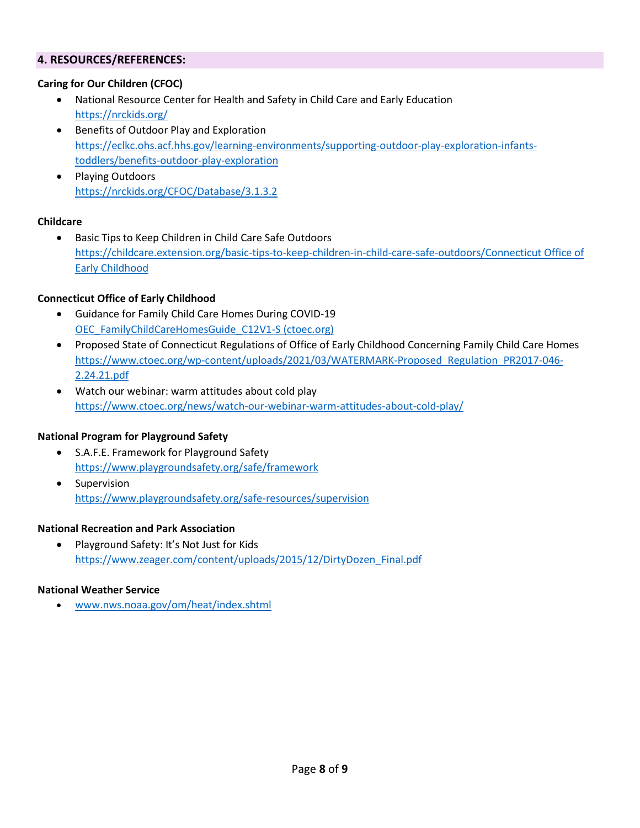#### **4. RESOURCES/REFERENCES:**

#### **Caring for Our Children (CFOC)**

- National Resource Center for Health and Safety in Child Care and Early Education <https://nrckids.org/>
- Benefits of Outdoor Play and Exploration [https://eclkc.ohs.acf.hhs.gov/learning-environments/supporting-outdoor-play-exploration-infants](https://eclkc.ohs.acf.hhs.gov/learning-environments/supporting-outdoor-play-exploration-infants-toddlers/benefits-outdoor-play-exploration)[toddlers/benefits-outdoor-play-exploration](https://eclkc.ohs.acf.hhs.gov/learning-environments/supporting-outdoor-play-exploration-infants-toddlers/benefits-outdoor-play-exploration)
- Playing Outdoors <https://nrckids.org/CFOC/Database/3.1.3.2>

#### **Childcare**

• Basic Tips to Keep Children in Child Care Safe Outdoors [https://childcare.extension.org/basic-tips-to-keep-children-in-child-care-safe-outdoors/Connecticut Office of](https://childcare.extension.org/basic-tips-to-keep-children-in-child-care-safe-outdoors/Connecticut%20Office%20of%20Early%20Childhood) [Early Childhood](https://childcare.extension.org/basic-tips-to-keep-children-in-child-care-safe-outdoors/Connecticut%20Office%20of%20Early%20Childhood)

#### **Connecticut Office of Early Childhood**

- Guidance for Family Child Care Homes During COVID-19 [OEC\\_FamilyChildCareHomesGuide\\_C12V1-S \(ctoec.org\)](https://www.ctoec.org/wp-content/uploads/2020/06/OEC-Child-Care-Home-Based-Guide.pdf)
- Proposed State of Connecticut Regulations of Office of Early Childhood Concerning Family Child Care Homes [https://www.ctoec.org/wp-content/uploads/2021/03/WATERMARK-Proposed\\_Regulation\\_PR2017-046-](https://www.ctoec.org/wp-content/uploads/2021/03/WATERMARK-Proposed_Regulation_PR2017-046-2.24.21.pdf) [2.24.21.pdf](https://www.ctoec.org/wp-content/uploads/2021/03/WATERMARK-Proposed_Regulation_PR2017-046-2.24.21.pdf)
- Watch our webinar: warm attitudes about cold play <https://www.ctoec.org/news/watch-our-webinar-warm-attitudes-about-cold-play/>

#### **National Program for Playground Safety**

- S.A.F.E. Framework for Playground Safety <https://www.playgroundsafety.org/safe/framework>
- Supervision <https://www.playgroundsafety.org/safe-resources/supervision>

#### **National Recreation and Park Association**

• Playground Safety: It's Not Just for Kids [https://www.zeager.com/content/uploads/2015/12/DirtyDozen\\_Final.pdf](https://www.zeager.com/content/uploads/2015/12/DirtyDozen_Final.pdf)

#### **National Weather Service**

• [www.nws.noaa.gov/om/heat/index.shtml](http://www.nws.noaa.gov/om/heat/index.shtml)